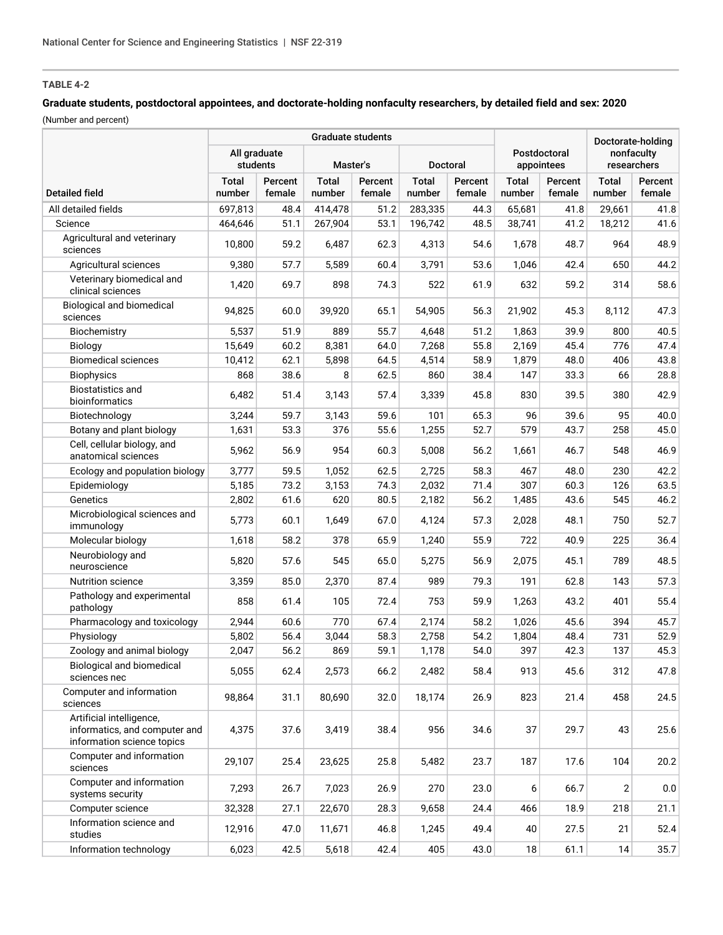## **Graduate students, postdoctoral appointees, and doctorate-holding nonfaculty researchers, by detailed field and sex: 2020** (Number and percent)

|                                                                                         | <b>Graduate students</b> |                   |                        |                   |                        |                   |                            |                   | Doctorate-holding         |                   |
|-----------------------------------------------------------------------------------------|--------------------------|-------------------|------------------------|-------------------|------------------------|-------------------|----------------------------|-------------------|---------------------------|-------------------|
|                                                                                         | All graduate<br>students |                   | Master's               |                   | Doctoral               |                   | Postdoctoral<br>appointees |                   | nonfaculty<br>researchers |                   |
| <b>Detailed field</b>                                                                   | <b>Total</b><br>number   | Percent<br>female | <b>Total</b><br>number | Percent<br>female | <b>Total</b><br>number | Percent<br>female | Total<br>number            | Percent<br>female | <b>Total</b><br>number    | Percent<br>female |
| All detailed fields                                                                     | 697,813                  | 48.4              | 414,478                | 51.2              | 283,335                | 44.3              | 65,681                     | 41.8              | 29,661                    | 41.8              |
| Science                                                                                 | 464,646                  | 51.1              | 267,904                | 53.1              | 196,742                | 48.5              | 38,741                     | 41.2              | 18,212                    | 41.6              |
| Agricultural and veterinary<br>sciences                                                 | 10,800                   | 59.2              | 6,487                  | 62.3              | 4,313                  | 54.6              | 1,678                      | 48.7              | 964                       | 48.9              |
| Agricultural sciences                                                                   | 9,380                    | 57.7              | 5,589                  | 60.4              | 3,791                  | 53.6              | 1,046                      | 42.4              | 650                       | 44.2              |
| Veterinary biomedical and<br>clinical sciences                                          | 1,420                    | 69.7              | 898                    | 74.3              | 522                    | 61.9              | 632                        | 59.2              | 314                       | 58.6              |
| <b>Biological and biomedical</b><br>sciences                                            | 94,825                   | 60.0              | 39,920                 | 65.1              | 54,905                 | 56.3              | 21,902                     | 45.3              | 8,112                     | 47.3              |
| Biochemistry                                                                            | 5,537                    | 51.9              | 889                    | 55.7              | 4,648                  | 51.2              | 1,863                      | 39.9              | 800                       | 40.5              |
| Biology                                                                                 | 15,649                   | 60.2              | 8,381                  | 64.0              | 7,268                  | 55.8              | 2,169                      | 45.4              | 776                       | 47.4              |
| <b>Biomedical sciences</b>                                                              | 10,412                   | 62.1              | 5,898                  | 64.5              | 4,514                  | 58.9              | 1,879                      | 48.0              | 406                       | 43.8              |
| <b>Biophysics</b>                                                                       | 868                      | 38.6              | 8                      | 62.5              | 860                    | 38.4              | 147                        | 33.3              | 66                        | 28.8              |
| <b>Biostatistics and</b><br>bioinformatics                                              | 6,482                    | 51.4              | 3,143                  | 57.4              | 3,339                  | 45.8              | 830                        | 39.5              | 380                       | 42.9              |
| Biotechnology                                                                           | 3,244                    | 59.7              | 3,143                  | 59.6              | 101                    | 65.3              | 96                         | 39.6              | 95                        | 40.0              |
| Botany and plant biology                                                                | 1,631                    | 53.3              | 376                    | 55.6              | 1,255                  | 52.7              | 579                        | 43.7              | 258                       | 45.0              |
| Cell, cellular biology, and<br>anatomical sciences                                      | 5,962                    | 56.9              | 954                    | 60.3              | 5,008                  | 56.2              | 1,661                      | 46.7              | 548                       | 46.9              |
| Ecology and population biology                                                          | 3,777                    | 59.5              | 1,052                  | 62.5              | 2,725                  | 58.3              | 467                        | 48.0              | 230                       | 42.2              |
| Epidemiology                                                                            | 5,185                    | 73.2              | 3,153                  | 74.3              | 2,032                  | 71.4              | 307                        | 60.3              | 126                       | 63.5              |
| Genetics                                                                                | 2,802                    | 61.6              | 620                    | 80.5              | 2,182                  | 56.2              | 1,485                      | 43.6              | 545                       | 46.2              |
| Microbiological sciences and<br>immunology                                              | 5,773                    | 60.1              | 1,649                  | 67.0              | 4,124                  | 57.3              | 2,028                      | 48.1              | 750                       | 52.7              |
| Molecular biology                                                                       | 1,618                    | 58.2              | 378                    | 65.9              | 1,240                  | 55.9              | 722                        | 40.9              | 225                       | 36.4              |
| Neurobiology and<br>neuroscience                                                        | 5,820                    | 57.6              | 545                    | 65.0              | 5,275                  | 56.9              | 2,075                      | 45.1              | 789                       | 48.5              |
| <b>Nutrition science</b>                                                                | 3,359                    | 85.0              | 2,370                  | 87.4              | 989                    | 79.3              | 191                        | 62.8              | 143                       | 57.3              |
| Pathology and experimental<br>pathology                                                 | 858                      | 61.4              | 105                    | 72.4              | 753                    | 59.9              | 1,263                      | 43.2              | 401                       | 55.4              |
| Pharmacology and toxicology                                                             | 2,944                    | 60.6              | 770                    | 67.4              | 2,174                  | 58.2              | 1,026                      | 45.6              | 394                       | 45.7              |
| Physiology                                                                              | 5,802                    | 56.4              | 3,044                  | 58.3              | 2,758                  | 54.2              | 1,804                      | 48.4              | 731                       | 52.9              |
| Zoology and animal biology                                                              | 2,047                    | 56.2              | 869                    | 59.1              | 1,178                  | 54.0              | 397                        | 42.3              | 137                       | 45.3              |
| Biological and biomedical<br>sciences nec                                               | 5,055                    | 62.4              | 2,573                  | 66.2              | 2,482                  | 58.4              | 913                        | 45.6              | 312                       | 47.8              |
| Computer and information<br>sciences                                                    | 98,864                   | 31.1              | 80,690                 | 32.0              | 18,174                 | 26.9              | 823                        | 21.4              | 458                       | 24.5              |
| Artificial intelligence,<br>informatics, and computer and<br>information science topics | 4,375                    | 37.6              | 3,419                  | 38.4              | 956                    | 34.6              | 37                         | 29.7              | 43                        | 25.6              |
| Computer and information<br>sciences                                                    | 29,107                   | 25.4              | 23,625                 | 25.8              | 5,482                  | 23.7              | 187                        | 17.6              | 104                       | 20.2              |
| Computer and information<br>systems security                                            | 7,293                    | 26.7              | 7,023                  | 26.9              | 270                    | 23.0              | 6                          | 66.7              | 2                         | 0.0               |
| Computer science                                                                        | 32,328                   | 27.1              | 22,670                 | 28.3              | 9,658                  | 24.4              | 466                        | 18.9              | 218                       | 21.1              |
| Information science and<br>studies                                                      | 12,916                   | 47.0              | 11,671                 | 46.8              | 1,245                  | 49.4              | 40                         | 27.5              | 21                        | 52.4              |
| Information technology                                                                  | 6,023                    | 42.5              | 5,618                  | 42.4              | 405                    | 43.0              | 18                         | 61.1              | 14                        | 35.7              |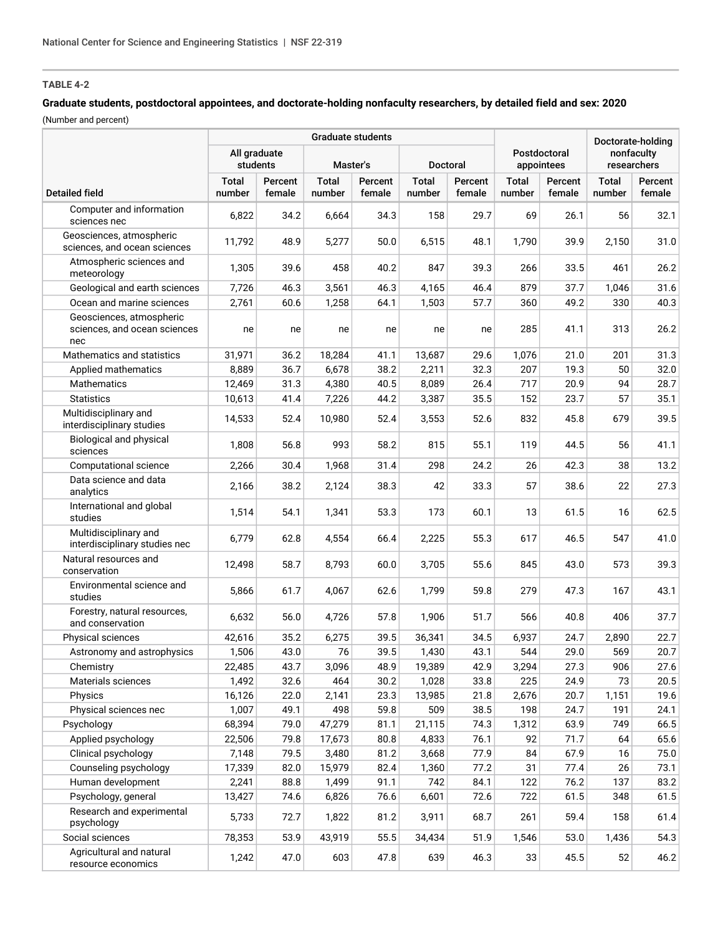# **Graduate students, postdoctoral appointees, and doctorate-holding nonfaculty researchers, by detailed field and sex: 2020**

(Number and percent)

|                                                                 | <b>Graduate students</b> |                   |                        |                   |                        |                   |                            |                   | Doctorate-holding         |                   |
|-----------------------------------------------------------------|--------------------------|-------------------|------------------------|-------------------|------------------------|-------------------|----------------------------|-------------------|---------------------------|-------------------|
|                                                                 | All graduate<br>students |                   | Master's               |                   | Doctoral               |                   | Postdoctoral<br>appointees |                   | nonfaculty<br>researchers |                   |
| <b>Detailed field</b>                                           | <b>Total</b><br>number   | Percent<br>female | <b>Total</b><br>number | Percent<br>female | <b>Total</b><br>number | Percent<br>female | <b>Total</b><br>number     | Percent<br>female | <b>Total</b><br>number    | Percent<br>female |
| Computer and information<br>sciences nec                        | 6,822                    | 34.2              | 6,664                  | 34.3              | 158                    | 29.7              | 69                         | 26.1              | 56                        | 32.1              |
| Geosciences, atmospheric<br>sciences, and ocean sciences        | 11,792                   | 48.9              | 5,277                  | 50.0              | 6,515                  | 48.1              | 1,790                      | 39.9              | 2,150                     | 31.0              |
| Atmospheric sciences and<br>meteorology                         | 1,305                    | 39.6              | 458                    | 40.2              | 847                    | 39.3              | 266                        | 33.5              | 461                       | 26.2              |
| Geological and earth sciences                                   | 7,726                    | 46.3              | 3,561                  | 46.3              | 4,165                  | 46.4              | 879                        | 37.7              | 1,046                     | 31.6              |
| Ocean and marine sciences                                       | 2,761                    | 60.6              | 1,258                  | 64.1              | 1,503                  | 57.7              | 360                        | 49.2              | 330                       | 40.3              |
| Geosciences, atmospheric<br>sciences, and ocean sciences<br>nec | ne                       | ne                | ne                     | ne                | ne                     | ne                | 285                        | 41.1              | 313                       | 26.2              |
| Mathematics and statistics                                      | 31,971                   | 36.2              | 18,284                 | 41.1              | 13,687                 | 29.6              | 1,076                      | 21.0              | 201                       | 31.3              |
| Applied mathematics                                             | 8,889                    | 36.7              | 6,678                  | 38.2              | 2,211                  | 32.3              | 207                        | 19.3              | 50                        | 32.0              |
| <b>Mathematics</b>                                              | 12,469                   | 31.3              | 4,380                  | 40.5              | 8,089                  | 26.4              | 717                        | 20.9              | 94                        | 28.7              |
| <b>Statistics</b>                                               | 10,613                   | 41.4              | 7,226                  | 44.2              | 3,387                  | 35.5              | 152                        | 23.7              | 57                        | 35.1              |
| Multidisciplinary and<br>interdisciplinary studies              | 14,533                   | 52.4              | 10,980                 | 52.4              | 3,553                  | 52.6              | 832                        | 45.8              | 679                       | 39.5              |
| Biological and physical<br>sciences                             | 1,808                    | 56.8              | 993                    | 58.2              | 815                    | 55.1              | 119                        | 44.5              | 56                        | 41.1              |
| Computational science                                           | 2,266                    | 30.4              | 1,968                  | 31.4              | 298                    | 24.2              | 26                         | 42.3              | 38                        | 13.2              |
| Data science and data<br>analytics                              | 2,166                    | 38.2              | 2,124                  | 38.3              | 42                     | 33.3              | 57                         | 38.6              | 22                        | 27.3              |
| International and global<br>studies                             | 1,514                    | 54.1              | 1,341                  | 53.3              | 173                    | 60.1              | 13                         | 61.5              | 16                        | 62.5              |
| Multidisciplinary and<br>interdisciplinary studies nec          | 6,779                    | 62.8              | 4,554                  | 66.4              | 2,225                  | 55.3              | 617                        | 46.5              | 547                       | 41.0              |
| Natural resources and<br>conservation                           | 12,498                   | 58.7              | 8,793                  | 60.0              | 3,705                  | 55.6              | 845                        | 43.0              | 573                       | 39.3              |
| Environmental science and<br>studies                            | 5,866                    | 61.7              | 4,067                  | 62.6              | 1,799                  | 59.8              | 279                        | 47.3              | 167                       | 43.1              |
| Forestry, natural resources,<br>and conservation                | 6,632                    | 56.0              | 4,726                  | 57.8              | 1,906                  | 51.7              | 566                        | 40.8              | 406                       | 37.7              |
| Physical sciences                                               | 42,616                   | 35.2              | 6,275                  | 39.5              | 36,341                 | 34.5              | 6,937                      | 24.7              | 2,890                     | 22.7              |
| Astronomy and astrophysics                                      | 1,506                    | 43.0              | 76                     | 39.5              | 1,430                  | 43.1              | 544                        | 29.0              | 569                       | 20.7              |
| Chemistry                                                       | 22,485                   | 43.7              | 3,096                  | 48.9              | 19,389                 | 42.9              | 3,294                      | 27.3              | 906                       | 27.6              |
| Materials sciences                                              | 1,492                    | 32.6              | 464                    | 30.2              | 1,028                  | 33.8              | 225                        | 24.9              | 73                        | 20.5              |
| Physics                                                         | 16,126                   | 22.0              | 2,141                  | 23.3              | 13,985                 | 21.8              | 2,676                      | 20.7              | 1,151                     | 19.6              |
| Physical sciences nec                                           | 1,007                    | 49.1              | 498                    | 59.8              | 509                    | 38.5              | 198                        | 24.7              | 191                       | 24.1              |
| Psychology                                                      | 68,394                   | 79.0              | 47,279                 | 81.1              | 21,115                 | 74.3              | 1,312                      | 63.9              | 749                       | 66.5              |
| Applied psychology                                              | 22,506                   | 79.8              | 17,673                 | 80.8              | 4,833                  | 76.1              | 92                         | 71.7              | 64                        | 65.6              |
| Clinical psychology                                             | 7,148                    | 79.5              | 3,480                  | 81.2              | 3,668                  | 77.9              | 84                         | 67.9              | 16                        | 75.0              |
| Counseling psychology                                           | 17,339                   | 82.0              | 15,979                 | 82.4              | 1,360                  | 77.2              | 31                         | 77.4              | 26                        | 73.1              |
| Human development                                               | 2,241                    | 88.8              | 1,499                  | 91.1              | 742                    | 84.1              | 122                        | 76.2              | 137                       | 83.2              |
| Psychology, general                                             | 13,427                   | 74.6              | 6,826                  | 76.6              | 6,601                  | 72.6              | 722                        | 61.5              | 348                       | 61.5              |
| Research and experimental<br>psychology                         | 5,733                    | 72.7              | 1,822                  | 81.2              | 3,911                  | 68.7              | 261                        | 59.4              | 158                       | 61.4              |
| Social sciences                                                 | 78,353                   | 53.9              | 43,919                 | 55.5              | 34,434                 | 51.9              | 1,546                      | 53.0              | 1,436                     | 54.3              |
| Agricultural and natural<br>resource economics                  | 1,242                    | 47.0              | 603                    | 47.8              | 639                    | 46.3              | 33                         | 45.5              | 52                        | 46.2              |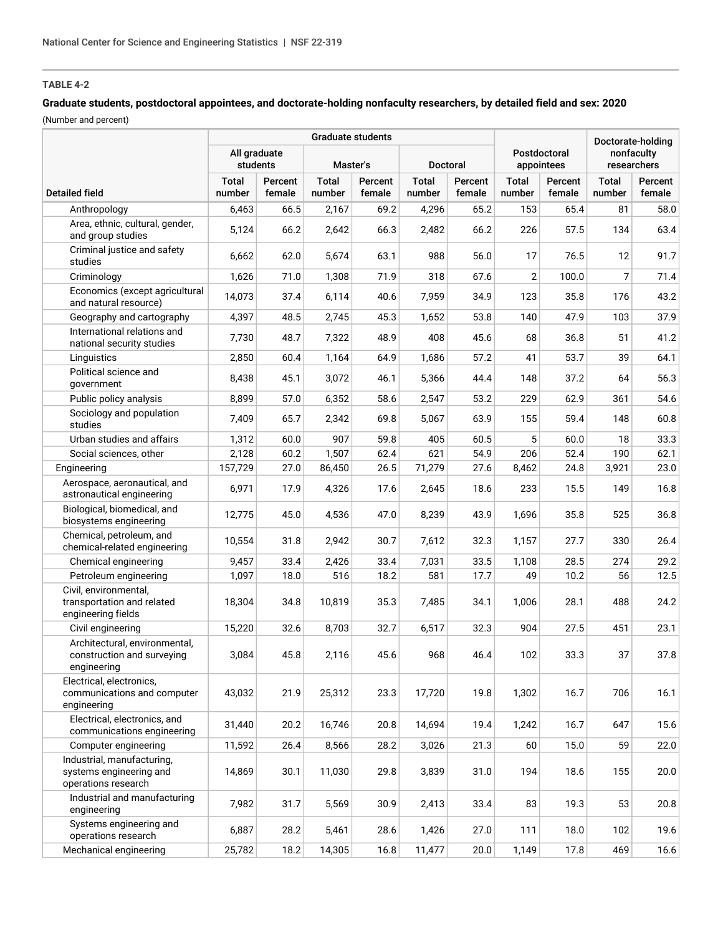# **Graduate students, postdoctoral appointees, and doctorate-holding nonfaculty researchers, by detailed field and sex: 2020**

(Number and percent)

|                                                                              | <b>Graduate students</b>                                |                   |                 |                   |                        |                            |                           |                   | Doctorate-holding      |                   |
|------------------------------------------------------------------------------|---------------------------------------------------------|-------------------|-----------------|-------------------|------------------------|----------------------------|---------------------------|-------------------|------------------------|-------------------|
|                                                                              | All graduate<br>students<br>Master's<br><b>Doctoral</b> |                   |                 |                   |                        | Postdoctoral<br>appointees | nonfaculty<br>researchers |                   |                        |                   |
| <b>Detailed field</b>                                                        | <b>Total</b><br>number                                  | Percent<br>female | Total<br>number | Percent<br>female | <b>Total</b><br>number | Percent<br>female          | <b>Total</b><br>number    | Percent<br>female | <b>Total</b><br>number | Percent<br>female |
| Anthropology                                                                 | 6,463                                                   | 66.5              | 2,167           | 69.2              | 4,296                  | 65.2                       | 153                       | 65.4              | 81                     | 58.0              |
| Area, ethnic, cultural, gender,<br>and group studies                         | 5,124                                                   | 66.2              | 2,642           | 66.3              | 2,482                  | 66.2                       | 226                       | 57.5              | 134                    | 63.4              |
| Criminal justice and safety<br>studies                                       | 6,662                                                   | 62.0              | 5,674           | 63.1              | 988                    | 56.0                       | 17                        | 76.5              | 12                     | 91.7              |
| Criminology                                                                  | 1,626                                                   | 71.0              | 1,308           | 71.9              | 318                    | 67.6                       | $\overline{2}$            | 100.0             | 7                      | 71.4              |
| Economics (except agricultural<br>and natural resource)                      | 14,073                                                  | 37.4              | 6,114           | 40.6              | 7,959                  | 34.9                       | 123                       | 35.8              | 176                    | 43.2              |
| Geography and cartography                                                    | 4,397                                                   | 48.5              | 2,745           | 45.3              | 1,652                  | 53.8                       | 140                       | 47.9              | 103                    | 37.9              |
| International relations and<br>national security studies                     | 7,730                                                   | 48.7              | 7,322           | 48.9              | 408                    | 45.6                       | 68                        | 36.8              | 51                     | 41.2              |
| Linguistics                                                                  | 2,850                                                   | 60.4              | 1,164           | 64.9              | 1,686                  | 57.2                       | 41                        | 53.7              | 39                     | 64.1              |
| Political science and<br>government                                          | 8,438                                                   | 45.1              | 3,072           | 46.1              | 5,366                  | 44.4                       | 148                       | 37.2              | 64                     | 56.3              |
| Public policy analysis                                                       | 8,899                                                   | 57.0              | 6,352           | 58.6              | 2,547                  | 53.2                       | 229                       | 62.9              | 361                    | 54.6              |
| Sociology and population<br>studies                                          | 7,409                                                   | 65.7              | 2,342           | 69.8              | 5,067                  | 63.9                       | 155                       | 59.4              | 148                    | 60.8              |
| Urban studies and affairs                                                    | 1,312                                                   | 60.0              | 907             | 59.8              | 405                    | 60.5                       | 5                         | 60.0              | 18                     | 33.3              |
| Social sciences, other                                                       | 2,128                                                   | 60.2              | 1,507           | 62.4              | 621                    | 54.9                       | 206                       | 52.4              | 190                    | 62.1              |
| Engineering                                                                  | 157,729                                                 | 27.0              | 86,450          | 26.5              | 71,279                 | 27.6                       | 8,462                     | 24.8              | 3,921                  | 23.0              |
| Aerospace, aeronautical, and<br>astronautical engineering                    | 6,971                                                   | 17.9              | 4,326           | 17.6              | 2,645                  | 18.6                       | 233                       | 15.5              | 149                    | 16.8              |
| Biological, biomedical, and<br>biosystems engineering                        | 12,775                                                  | 45.0              | 4,536           | 47.0              | 8,239                  | 43.9                       | 1,696                     | 35.8              | 525                    | 36.8              |
| Chemical, petroleum, and<br>chemical-related engineering                     | 10,554                                                  | 31.8              | 2,942           | 30.7              | 7,612                  | 32.3                       | 1,157                     | 27.7              | 330                    | 26.4              |
| Chemical engineering                                                         | 9,457                                                   | 33.4              | 2,426           | 33.4              | 7,031                  | 33.5                       | 1,108                     | 28.5              | 274                    | 29.2              |
| Petroleum engineering                                                        | 1,097                                                   | 18.0              | 516             | 18.2              | 581                    | 17.7                       | 49                        | 10.2              | 56                     | 12.5              |
| Civil, environmental,<br>transportation and related<br>engineering fields    | 18,304                                                  | 34.8              | 10.819          | 35.3              | 7,485                  | 34.1                       | 1,006                     | 28.1              | 488                    | 24.2              |
| Civil engineering                                                            | 15,220                                                  | 32.6              | 8,703           | 32.7              | 6,517                  | 32.3                       | 904                       | 27.5              | 451                    | 23.1              |
| Architectural, environmental,<br>construction and surveying<br>engineering   | 3,084                                                   | 45.8              | 2,116           | 45.6              | 968                    | 46.4                       | 102                       | 33.3              | 37                     | 37.8              |
| Electrical, electronics,<br>communications and computer<br>engineering       | 43,032                                                  | 21.9              | 25,312          | 23.3              | 17,720                 | 19.8                       | 1,302                     | 16.7              | 706                    | 16.1              |
| Electrical, electronics, and<br>communications engineering                   | 31,440                                                  | 20.2              | 16,746          | 20.8              | 14,694                 | 19.4                       | 1,242                     | 16.7              | 647                    | 15.6              |
| Computer engineering                                                         | 11,592                                                  | 26.4              | 8,566           | 28.2              | 3,026                  | 21.3                       | 60                        | 15.0              | 59                     | 22.0              |
| Industrial, manufacturing,<br>systems engineering and<br>operations research | 14,869                                                  | 30.1              | 11,030          | 29.8              | 3,839                  | 31.0                       | 194                       | 18.6              | 155                    | 20.0              |
| Industrial and manufacturing<br>engineering                                  | 7,982                                                   | 31.7              | 5,569           | 30.9              | 2,413                  | 33.4                       | 83                        | 19.3              | 53                     | 20.8              |
| Systems engineering and<br>operations research                               | 6,887                                                   | 28.2              | 5,461           | 28.6              | 1,426                  | 27.0                       | 111                       | 18.0              | 102                    | 19.6              |
| Mechanical engineering                                                       | 25,782                                                  | 18.2              | 14,305          | 16.8              | 11,477                 | 20.0                       | 1,149                     | 17.8              | 469                    | 16.6              |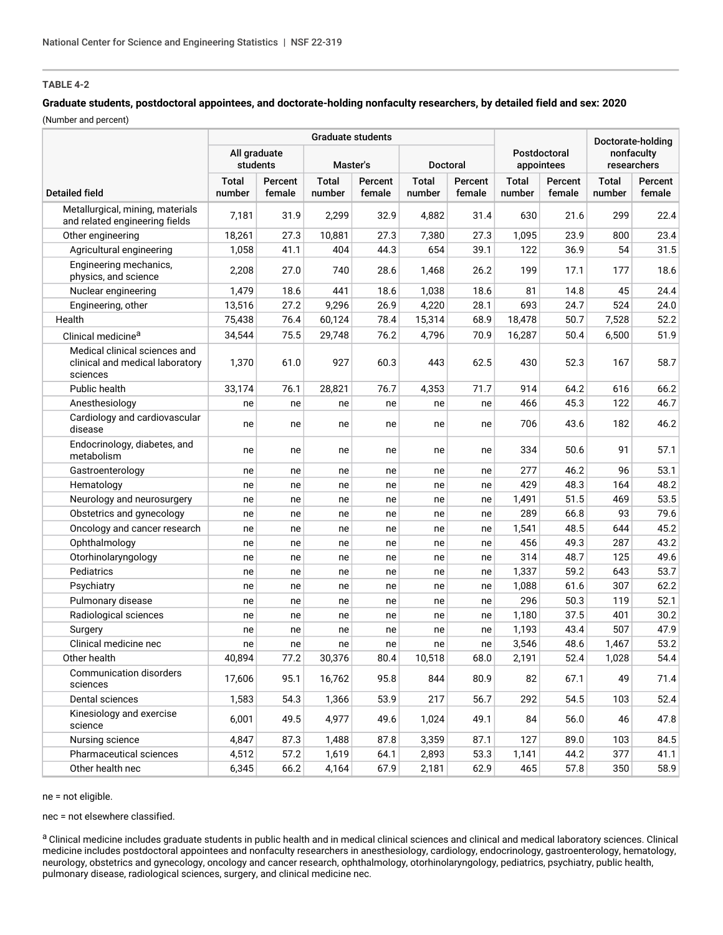# **Graduate students, postdoctoral appointees, and doctorate-holding nonfaculty researchers, by detailed field and sex: 2020**

(Number and percent)

|                                                                              | <b>Graduate students</b>                         |                   |                        |                   |                            |                   |                        |                   | Doctorate-holding<br>nonfaculty<br>researchers |                   |
|------------------------------------------------------------------------------|--------------------------------------------------|-------------------|------------------------|-------------------|----------------------------|-------------------|------------------------|-------------------|------------------------------------------------|-------------------|
|                                                                              | All graduate<br>students<br>Master's<br>Doctoral |                   |                        |                   | Postdoctoral<br>appointees |                   |                        |                   |                                                |                   |
| <b>Detailed field</b>                                                        | <b>Total</b><br>number                           | Percent<br>female | <b>Total</b><br>number | Percent<br>female | <b>Total</b><br>number     | Percent<br>female | <b>Total</b><br>number | Percent<br>female | <b>Total</b><br>number                         | Percent<br>female |
| Metallurgical, mining, materials<br>and related engineering fields           | 7,181                                            | 31.9              | 2,299                  | 32.9              | 4,882                      | 31.4              | 630                    | 21.6              | 299                                            | 22.4              |
| Other engineering                                                            | 18,261                                           | 27.3              | 10,881                 | 27.3              | 7,380                      | 27.3              | 1,095                  | 23.9              | 800                                            | 23.4              |
| Agricultural engineering                                                     | 1,058                                            | 41.1              | 404                    | 44.3              | 654                        | 39.1              | 122                    | 36.9              | 54                                             | 31.5              |
| Engineering mechanics,<br>physics, and science                               | 2,208                                            | 27.0              | 740                    | 28.6              | 1,468                      | 26.2              | 199                    | 17.1              | 177                                            | 18.6              |
| Nuclear engineering                                                          | 1,479                                            | 18.6              | 441                    | 18.6              | 1,038                      | 18.6              | 81                     | 14.8              | 45                                             | 24.4              |
| Engineering, other                                                           | 13,516                                           | 27.2              | 9,296                  | 26.9              | 4,220                      | 28.1              | 693                    | 24.7              | 524                                            | 24.0              |
| Health                                                                       | 75,438                                           | 76.4              | 60,124                 | 78.4              | 15,314                     | 68.9              | 18,478                 | 50.7              | 7,528                                          | 52.2              |
| Clinical medicine <sup>a</sup>                                               | 34,544                                           | 75.5              | 29,748                 | 76.2              | 4,796                      | 70.9              | 16,287                 | 50.4              | 6,500                                          | 51.9              |
| Medical clinical sciences and<br>clinical and medical laboratory<br>sciences | 1,370                                            | 61.0              | 927                    | 60.3              | 443                        | 62.5              | 430                    | 52.3              | 167                                            | 58.7              |
| Public health                                                                | 33,174                                           | 76.1              | 28,821                 | 76.7              | 4,353                      | 71.7              | 914                    | 64.2              | 616                                            | 66.2              |
| Anesthesiology                                                               | ne                                               | ne                | ne                     | ne                | ne                         | ne                | 466                    | 45.3              | 122                                            | 46.7              |
| Cardiology and cardiovascular<br>disease                                     | ne                                               | ne                | ne                     | ne                | ne                         | ne                | 706                    | 43.6              | 182                                            | 46.2              |
| Endocrinology, diabetes, and<br>metabolism                                   | ne                                               | ne                | ne                     | ne                | ne                         | ne                | 334                    | 50.6              | 91                                             | 57.1              |
| Gastroenterology                                                             | ne                                               | ne                | ne                     | ne                | ne                         | ne                | 277                    | 46.2              | 96                                             | 53.1              |
| Hematology                                                                   | ne                                               | ne                | ne                     | ne                | ne                         | ne                | 429                    | 48.3              | 164                                            | 48.2              |
| Neurology and neurosurgery                                                   | ne                                               | ne                | ne                     | ne                | ne                         | ne                | 1,491                  | 51.5              | 469                                            | 53.5              |
| Obstetrics and gynecology                                                    | ne                                               | ne                | ne                     | ne                | ne                         | ne                | 289                    | 66.8              | 93                                             | 79.6              |
| Oncology and cancer research                                                 | ne                                               | ne                | ne                     | ne                | ne                         | ne                | 1,541                  | 48.5              | 644                                            | 45.2              |
| Ophthalmology                                                                | ne                                               | ne                | ne                     | ne                | ne                         | ne                | 456                    | 49.3              | 287                                            | 43.2              |
| Otorhinolaryngology                                                          | ne                                               | ne                | ne                     | ne                | ne                         | ne                | 314                    | 48.7              | 125                                            | 49.6              |
| Pediatrics                                                                   | ne                                               | ne                | ne                     | ne                | ne                         | ne                | 1,337                  | 59.2              | 643                                            | 53.7              |
| Psychiatry                                                                   | ne                                               | ne                | ne                     | ne                | ne                         | ne                | 1,088                  | 61.6              | 307                                            | 62.2              |
| Pulmonary disease                                                            | ne                                               | ne                | ne                     | ne                | ne                         | ne                | 296                    | 50.3              | 119                                            | 52.1              |
| Radiological sciences                                                        | ne                                               | ne                | ne                     | ne                | ne                         | ne                | 1,180                  | 37.5              | 401                                            | 30.2              |
| Surgery                                                                      | ne                                               | ne                | ne                     | ne                | ne                         | ne                | 1,193                  | 43.4              | 507                                            | 47.9              |
| Clinical medicine nec                                                        | ne                                               | ne                | ne                     | ne                | ne                         | ne                | 3,546                  | 48.6              | 1,467                                          | 53.2              |
| Other health                                                                 | 40,894                                           | 77.2              | 30,376                 | 80.4              | 10,518                     | 68.0              | 2,191                  | 52.4              | 1,028                                          | 54.4              |
| Communication disorders<br>sciences                                          | 17,606                                           | 95.1              | 16,762                 | 95.8              | 844                        | 80.9              | 82                     | 67.1              | 49                                             | 71.4              |
| Dental sciences                                                              | 1,583                                            | 54.3              | 1,366                  | 53.9              | 217                        | 56.7              | 292                    | 54.5              | 103                                            | 52.4              |
| Kinesiology and exercise<br>science                                          | 6,001                                            | 49.5              | 4,977                  | 49.6              | 1,024                      | 49.1              | 84                     | 56.0              | 46                                             | 47.8              |
| Nursing science                                                              | 4,847                                            | 87.3              | 1,488                  | 87.8              | 3,359                      | 87.1              | 127                    | 89.0              | 103                                            | 84.5              |
| Pharmaceutical sciences                                                      | 4,512                                            | 57.2              | 1,619                  | 64.1              | 2,893                      | 53.3              | 1,141                  | 44.2              | 377                                            | 41.1              |
| Other health nec                                                             | 6,345                                            | 66.2              | 4,164                  | 67.9              | 2,181                      | 62.9              | 465                    | 57.8              | 350                                            | 58.9              |

ne = not eligible.

nec = not elsewhere classified.

a Clinical medicine includes graduate students in public health and in medical clinical sciences and clinical and medical laboratory sciences. Clinical medicine includes postdoctoral appointees and nonfaculty researchers in anesthesiology, cardiology, endocrinology, gastroenterology, hematology, neurology, obstetrics and gynecology, oncology and cancer research, ophthalmology, otorhinolaryngology, pediatrics, psychiatry, public health, pulmonary disease, radiological sciences, surgery, and clinical medicine nec.